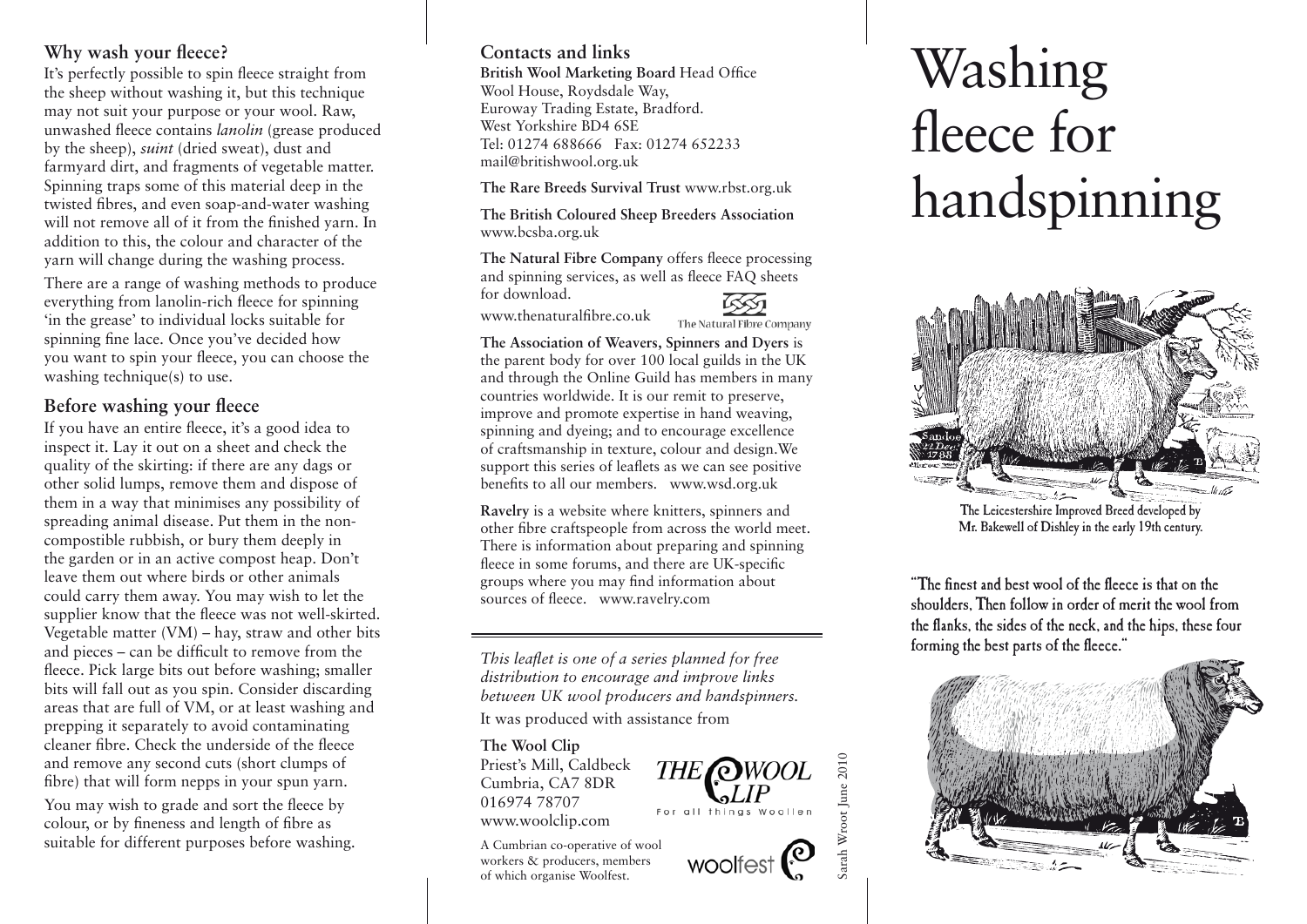# **Why wash your fleece?**

It's perfectly possible to spin fleece straight from the sheep without washing it, but this technique may not suit your purpose or your wool. Raw, unwashed fleece contains *lanolin* (grease produced by the sheep), *suint* (dried sweat), dust and farmyard dirt, and fragments of vegetable matter. Spinning traps some of this material deep in the twisted fibres, and even soap-and-water washing will not remove all of it from the finished yarn. In addition to this, the colour and character of the yarn will change during the washing process.

There are a range of washing methods to produce everything from lanolin-rich fleece for spinning 'in the grease' to individual locks suitable for spinning fine lace. Once you've decided how you want to spin your fleece, you can choose the washing technique(s) to use.

## **Before washing your fleece**

If you have an entire fleece, it's a good idea to inspect it. Lay it out on a sheet and check the quality of the skirting: if there are any dags or other solid lumps, remove them and dispose of them in a way that minimises any possibility of spreading animal disease. Put them in the noncompostible rubbish, or bury them deeply in the garden or in an active compost heap. Don't leave them out where birds or other animals could carry them away. You may wish to let the supplier know that the fleece was not well-skirted. Vegetable matter (VM) – hay, straw and other bits and pieces – can be difficult to remove from the fleece. Pick large bits out before washing; smaller bits will fall out as you spin. Consider discarding areas that are full of VM, or at least washing and prepping it separately to avoid contaminating cleaner fibre. Check the underside of the fleece and remove any second cuts (short clumps of fibre) that will form nepps in your spun yarn. You may wish to grade and sort the fleece by colour, or by fineness and length of fibre as suitable for different purposes before washing.

## **Contacts and links**

**British Wool Marketing Board** Head Office Wool House, Roydsdale Way, Euroway Trading Estate, Bradford. West Yorkshire BD4 6SE Tel: 01274 688666 Fax: 01274 652233 mail@britishwool.org.uk

**The Rare Breeds Survival Trust** www.rbst.org.uk

**The British Coloured Sheep Breeders Association** www.bcsba.org.uk

**The Natural Fibre Company** offers fleece processing and spinning services, as well as fleece FAQ sheets for download.

www.thenaturalfibre.co.uk

The Natural Fibre Company

**THE** *OWOOL* 

For all thinas Woollen

woolfest $\mathcal{C}$ 

Sarah Wroot June 2010

arah Wroot June 2010

**The Association of Weavers, Spinners and Dyers** is the parent body for over 100 local guilds in the UK and through the Online Guild has members in many countries worldwide. It is our remit to preserve, improve and promote expertise in hand weaving, spinning and dyeing; and to encourage excellence of craftsmanship in texture, colour and design.We support this series of leaflets as we can see positive benefits to all our members. www.wsd.org.uk

**Ravelry** is a website where knitters, spinners and other fibre craftspeople from across the world meet. There is information about preparing and spinning fleece in some forums, and there are UK-specific groups where you may find information about sources of fleece. www.ravelry.com

*This leaflet is one of a series planned for free distribution to encourage and improve links between UK wool producers and handspinners.*  It was produced with assistance from

#### **The Wool Clip**

Priest's Mill, Caldbeck Cumbria, CA7 8DR 016974 78707 www.woolclip.com

A Cumbrian co-operative of wool workers & producers, members of which organise Woolfest.

# Washing fleece for handspinning



The Leicestershire Improved Breed developed by Mr. Bakewell of Dishley in the early 19th century.

"The finest and best wool of the fleece is that on the shoulders, Then follow in order of merit the wool from the flanks, the sides of the neck, and the hips, these four forming the best parts of the fleece."